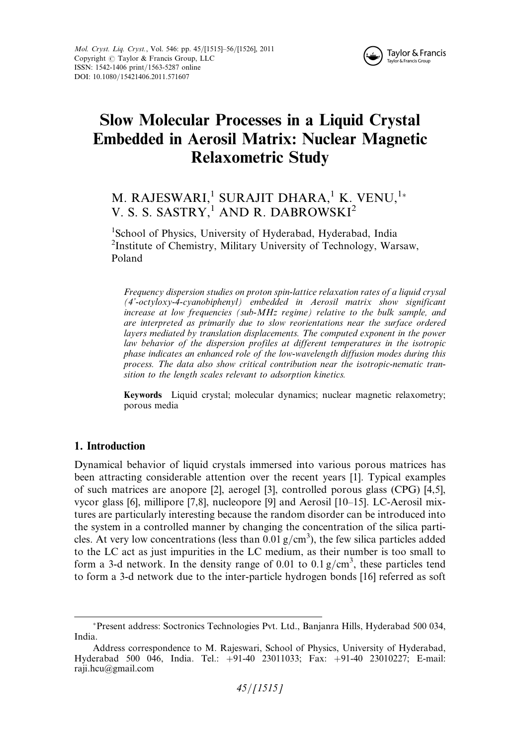

# Slow Molecular Processes in a Liquid Crystal Embedded in Aerosil Matrix: Nuclear Magnetic Relaxometric Study

# M. RAJESWARI,<sup>1</sup> SURAJIT DHARA,<sup>1</sup> K. VENU,<sup>1</sup>\* V. S. S. SASTRY,<sup>1</sup> AND R. DABROWSKI<sup>2</sup>

<sup>1</sup>School of Physics, University of Hyderabad, Hyderabad, India 2 Institute of Chemistry, Military University of Technology, Warsaw, Poland

Frequency dispersion studies on proton spin-lattice relaxation rates of a liquid crysal (4'-octyloxy-4-cyanobiphenyl) embedded in Aerosil matrix show significant increase at low frequencies (sub-MHz regime) relative to the bulk sample, and are interpreted as primarily due to slow reorientations near the surface ordered layers mediated by translation displacements. The computed exponent in the power law behavior of the dispersion profiles at different temperatures in the isotropic phase indicates an enhanced role of the low-wavelength diffusion modes during this process. The data also show critical contribution near the isotropic-nematic transition to the length scales relevant to adsorption kinetics.

Keywords Liquid crystal; molecular dynamics; nuclear magnetic relaxometry; porous media

# 1. Introduction

Dynamical behavior of liquid crystals immersed into various porous matrices has been attracting considerable attention over the recent years [1]. Typical examples of such matrices are anopore [2], aerogel [3], controlled porous glass (CPG) [4,5], vycor glass [6], millipore [7,8], nucleopore [9] and Aerosil [10–15]. LC-Aerosil mixtures are particularly interesting because the random disorder can be introduced into the system in a controlled manner by changing the concentration of the silica particles. At very low concentrations (less than  $0.01$  g/cm<sup>3</sup>), the few silica particles added to the LC act as just impurities in the LC medium, as their number is too small to form a 3-d network. In the density range of 0.01 to 0.1  $g/cm<sup>3</sup>$ , these particles tend to form a 3-d network due to the inter-particle hydrogen bonds [16] referred as soft

Present address: Soctronics Technologies Pvt. Ltd., Banjanra Hills, Hyderabad 500 034, India.

Address correspondence to M. Rajeswari, School of Physics, University of Hyderabad, Hyderabad 500 046, India. Tel.: +91-40 23011033; Fax: +91-40 23010227; E-mail: raji.hcu@gmail.com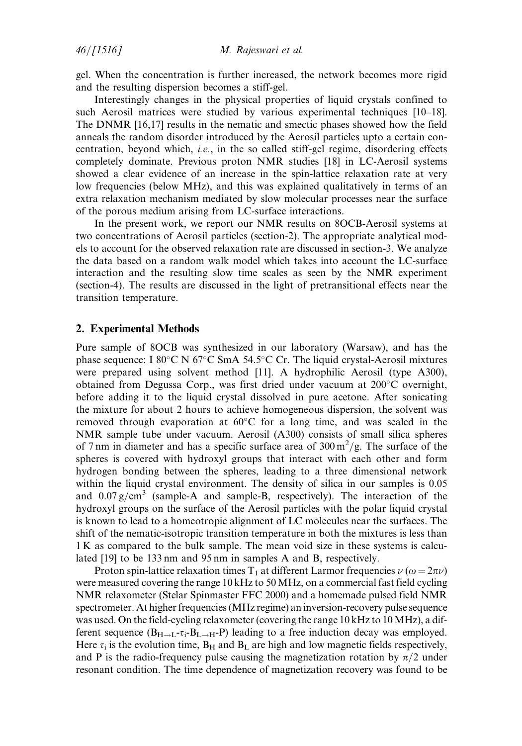gel. When the concentration is further increased, the network becomes more rigid and the resulting dispersion becomes a stiff-gel.

Interestingly changes in the physical properties of liquid crystals confined to such Aerosil matrices were studied by various experimental techniques [10–18]. The DNMR [16,17] results in the nematic and smectic phases showed how the field anneals the random disorder introduced by the Aerosil particles upto a certain concentration, beyond which, *i.e.*, in the so called stiff-gel regime, disordering effects completely dominate. Previous proton NMR studies [18] in LC-Aerosil systems showed a clear evidence of an increase in the spin-lattice relaxation rate at very low frequencies (below MHz), and this was explained qualitatively in terms of an extra relaxation mechanism mediated by slow molecular processes near the surface of the porous medium arising from LC-surface interactions.

In the present work, we report our NMR results on 8OCB-Aerosil systems at two concentrations of Aerosil particles (section-2). The appropriate analytical models to account for the observed relaxation rate are discussed in section-3. We analyze the data based on a random walk model which takes into account the LC-surface interaction and the resulting slow time scales as seen by the NMR experiment (section-4). The results are discussed in the light of pretransitional effects near the transition temperature.

#### 2. Experimental Methods

Pure sample of 8OCB was synthesized in our laboratory (Warsaw), and has the phase sequence: I 80°C N 67°C SmA 54.5°C Cr. The liquid crystal-Aerosil mixtures were prepared using solvent method [11]. A hydrophilic Aerosil (type A300), obtained from Degussa Corp., was first dried under vacuum at 200°C overnight, before adding it to the liquid crystal dissolved in pure acetone. After sonicating the mixture for about 2 hours to achieve homogeneous dispersion, the solvent was removed through evaporation at  $60^{\circ}$ C for a long time, and was sealed in the NMR sample tube under vacuum. Aerosil (A300) consists of small silica spheres of 7 nm in diameter and has a specific surface area of  $300 \,\mathrm{m}^2/\mathrm{g}$ . The surface of the spheres is covered with hydroxyl groups that interact with each other and form hydrogen bonding between the spheres, leading to a three dimensional network within the liquid crystal environment. The density of silica in our samples is 0.05 and  $0.07 \text{ g/cm}^3$  (sample-A and sample-B, respectively). The interaction of the hydroxyl groups on the surface of the Aerosil particles with the polar liquid crystal is known to lead to a homeotropic alignment of LC molecules near the surfaces. The shift of the nematic-isotropic transition temperature in both the mixtures is less than 1 K as compared to the bulk sample. The mean void size in these systems is calculated [19] to be 133 nm and 95 nm in samples A and B, respectively.

Proton spin-lattice relaxation times T<sub>1</sub> at different Larmor frequencies  $\nu$  ( $\omega = 2\pi\nu$ ) were measured covering the range 10 kHz to 50MHz, on a commercial fast field cycling NMR relaxometer (Stelar Spinmaster FFC 2000) and a homemade pulsed field NMR spectrometer. At higher frequencies (MHz regime) an inversion-recovery pulse sequence was used. On the field-cycling relaxometer (covering the range 10 kHz to 10MHz), a different sequence  $(B_{H\to L^-T_i-B_{L\to H^-}}P)$  leading to a free induction decay was employed. Here  $\tau_i$  is the evolution time,  $B_H$  and  $B_L$  are high and low magnetic fields respectively, and P is the radio-frequency pulse causing the magnetization rotation by  $\pi/2$  under resonant condition. The time dependence of magnetization recovery was found to be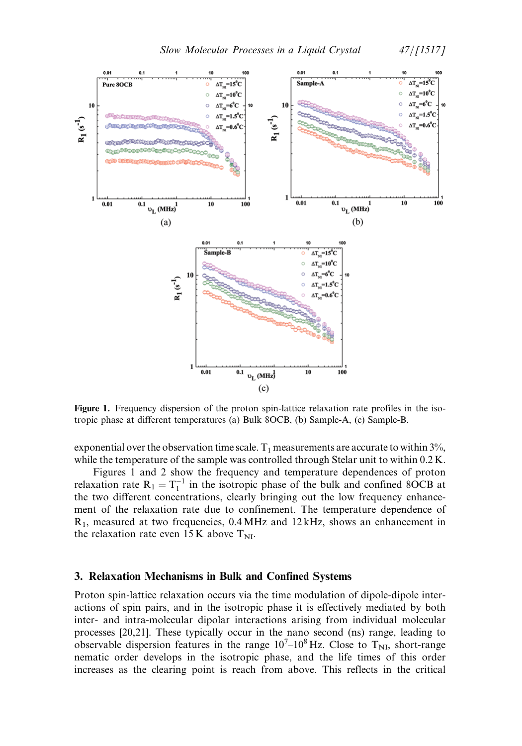



Figure 1. Frequency dispersion of the proton spin-lattice relaxation rate profiles in the isotropic phase at different temperatures (a) Bulk 8OCB, (b) Sample-A, (c) Sample-B.

exponential over the observation time scale.  $T_1$  measurements are accurate to within 3%, while the temperature of the sample was controlled through Stelar unit to within  $0.2$  K.

Figures 1 and 2 show the frequency and temperature dependences of proton relaxation rate  $R_1 = T_1^{-1}$  in the isotropic phase of the bulk and confined 8OCB at the two different concentrations, clearly bringing out the low frequency enhancement of the relaxation rate due to confinement. The temperature dependence of  $R_1$ , measured at two frequencies, 0.4 MHz and 12 kHz, shows an enhancement in the relaxation rate even  $15K$  above  $T_{\text{NI}}$ .

#### 3. Relaxation Mechanisms in Bulk and Confined Systems

Proton spin-lattice relaxation occurs via the time modulation of dipole-dipole interactions of spin pairs, and in the isotropic phase it is effectively mediated by both inter- and intra-molecular dipolar interactions arising from individual molecular processes [20,21]. These typically occur in the nano second (ns) range, leading to observable dispersion features in the range  $10<sup>7</sup>-10<sup>8</sup>$  Hz. Close to T<sub>NI</sub>, short-range nematic order develops in the isotropic phase, and the life times of this order increases as the clearing point is reach from above. This reflects in the critical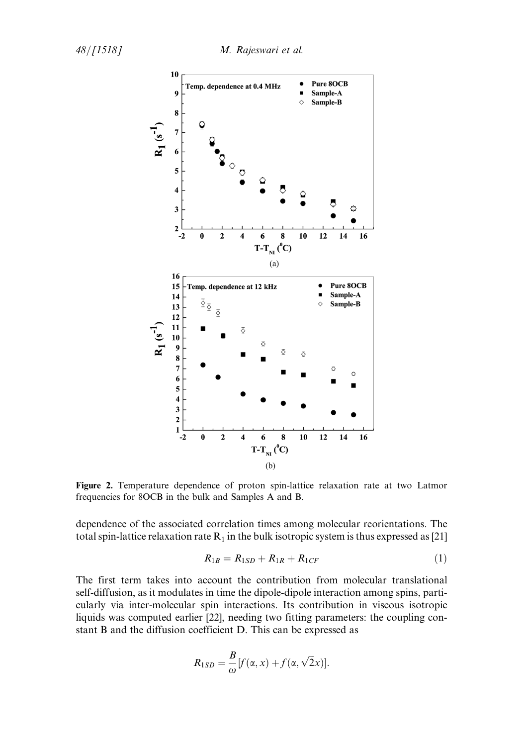

Figure 2. Temperature dependence of proton spin-lattice relaxation rate at two Latmor frequencies for 8OCB in the bulk and Samples A and B.

dependence of the associated correlation times among molecular reorientations. The total spin-lattice relaxation rate  $R_1$  in the bulk isotropic system is thus expressed as [21]

$$
R_{1B} = R_{1SD} + R_{1R} + R_{1CF}
$$
 (1)

The first term takes into account the contribution from molecular translational self-diffusion, as it modulates in time the dipole-dipole interaction among spins, particularly via inter-molecular spin interactions. Its contribution in viscous isotropic liquids was computed earlier [22], needing two fitting parameters: the coupling constant B and the diffusion coefficient D. This can be expressed as

$$
R_{1SD} = \frac{B}{\omega} [f(\alpha, x) + f(\alpha, \sqrt{2}x)].
$$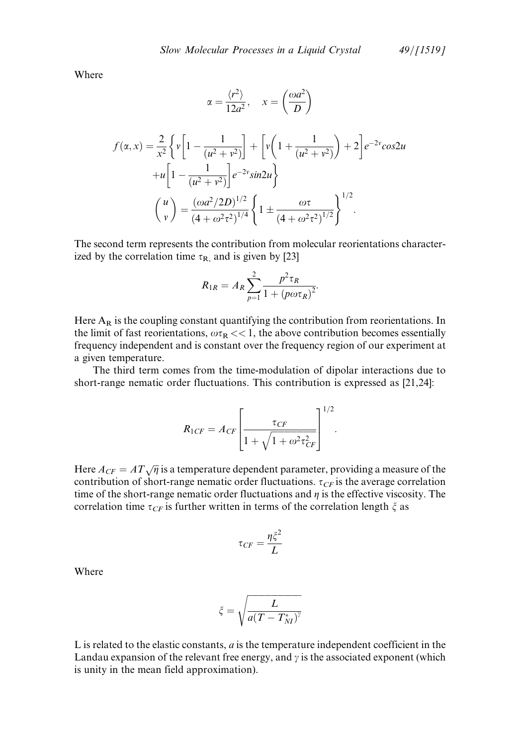Where

$$
\alpha = \frac{\langle r^2 \rangle}{12a^2}, \quad x = \left(\frac{\omega a^2}{D}\right)
$$
  

$$
f(\alpha, x) = \frac{2}{x^2} \left\{ v \left[ 1 - \frac{1}{(u^2 + v^2)} \right] + \left[ v \left( 1 + \frac{1}{(u^2 + v^2)} \right) + 2 \right] e^{-2v} \cos 2u + u \left[ 1 - \frac{1}{(u^2 + v^2)} \right] e^{-2v} \sin 2u \right\}
$$
  

$$
\left(\frac{u}{v}\right) = \frac{(\omega a^2 / 2D)^{1/2}}{(4 + \omega^2 \tau^2)^{1/4}} \left\{ 1 \pm \frac{\omega \tau}{(4 + \omega^2 \tau^2)^{1/2}} \right\}^{1/2}.
$$

The second term represents the contribution from molecular reorientations characterized by the correlation time  $\tau_{\rm R}$ , and is given by [23]

$$
R_{1R} = A_R \sum_{p=1}^{2} \frac{p^2 \tau_R}{1 + (p\omega \tau_R)^2}.
$$

Here  $A_R$  is the coupling constant quantifying the contribution from reorientations. In the limit of fast reorientations,  $\omega \tau_R << 1$ , the above contribution becomes essentially frequency independent and is constant over the frequency region of our experiment at a given temperature.

The third term comes from the time-modulation of dipolar interactions due to short-range nematic order fluctuations. This contribution is expressed as [21,24]:

$$
R_{1CF} = A_{CF} \left[ \frac{\tau_{CF}}{1 + \sqrt{1 + \omega^2 \tau_{CF}^2}} \right]^{1/2}.
$$

Here  $A_{CF} = AT\sqrt{\eta}$  is a temperature dependent parameter, providing a measure of the contribution of short-range nematic order fluctuations.  $\tau_{CF}$  is the average correlation time of the short-range nematic order fluctuations and  $\eta$  is the effective viscosity. The correlation time  $\tau_{CF}$  is further written in terms of the correlation length  $\xi$  as

$$
\tau_{CF} = \frac{\eta \zeta^2}{L}
$$

Where

$$
\xi=\sqrt{\frac{L}{a(T-T_{NI}^*)^{\gamma}}}
$$

L is related to the elastic constants,  $a$  is the temperature independent coefficient in the Landau expansion of the relevant free energy, and  $\gamma$  is the associated exponent (which is unity in the mean field approximation).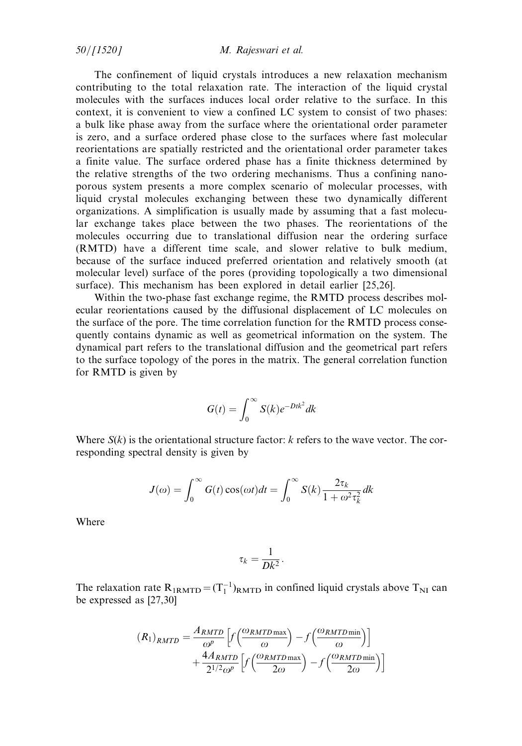$50/[1520]$  M. Rajeswari et al.

The confinement of liquid crystals introduces a new relaxation mechanism contributing to the total relaxation rate. The interaction of the liquid crystal molecules with the surfaces induces local order relative to the surface. In this context, it is convenient to view a confined LC system to consist of two phases: a bulk like phase away from the surface where the orientational order parameter is zero, and a surface ordered phase close to the surfaces where fast molecular reorientations are spatially restricted and the orientational order parameter takes a finite value. The surface ordered phase has a finite thickness determined by the relative strengths of the two ordering mechanisms. Thus a confining nanoporous system presents a more complex scenario of molecular processes, with liquid crystal molecules exchanging between these two dynamically different organizations. A simplification is usually made by assuming that a fast molecular exchange takes place between the two phases. The reorientations of the molecules occurring due to translational diffusion near the ordering surface (RMTD) have a different time scale, and slower relative to bulk medium, because of the surface induced preferred orientation and relatively smooth (at molecular level) surface of the pores (providing topologically a two dimensional surface). This mechanism has been explored in detail earlier [25,26].

Within the two-phase fast exchange regime, the RMTD process describes molecular reorientations caused by the diffusional displacement of LC molecules on the surface of the pore. The time correlation function for the RMTD process consequently contains dynamic as well as geometrical information on the system. The dynamical part refers to the translational diffusion and the geometrical part refers to the surface topology of the pores in the matrix. The general correlation function for RMTD is given by

$$
G(t) = \int_0^\infty S(k)e^{-Dtk^2}dk
$$

Where  $S(k)$  is the orientational structure factor: k refers to the wave vector. The corresponding spectral density is given by

$$
J(\omega) = \int_0^\infty G(t) \cos(\omega t) dt = \int_0^\infty S(k) \frac{2\tau_k}{1 + \omega^2 \tau_k^2} dk
$$

Where

$$
\tau_k = \frac{1}{Dk^2}.
$$

The relaxation rate  $R_{1RMTD} = (T_1^{-1})_{RMTD}$  in confined liquid crystals above  $T_{NI}$  can be expressed as [27,30]

$$
(R_1)_{RMTD} = \frac{A_{RMTD}}{\omega^p} \left[ f \left( \frac{\omega_{RMTD \max}}{\omega} \right) - f \left( \frac{\omega_{RMTD \min}}{\omega} \right) \right] + \frac{4A_{RMTD}}{2^{1/2} \omega^p} \left[ f \left( \frac{\omega_{RMTD \max}}{2\omega} \right) - f \left( \frac{\omega_{RMTD \min}}{2\omega} \right) \right]
$$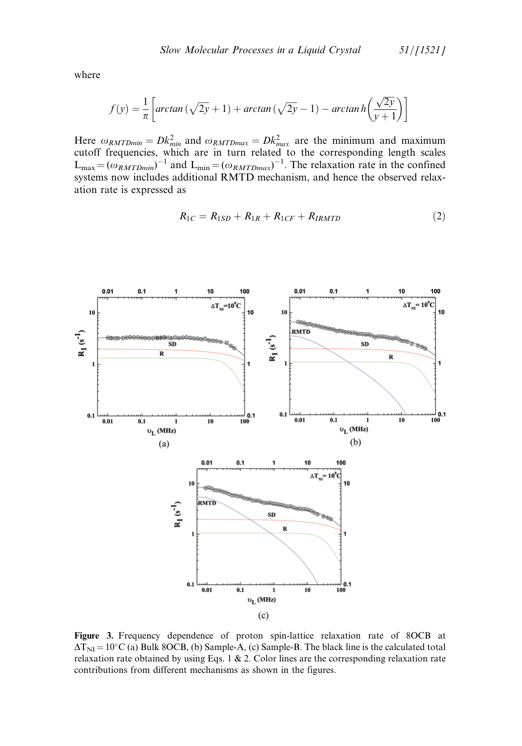where

$$
f(y) = \frac{1}{\pi} \left[ \arctan\left(\sqrt{2y} + 1\right) + \arctan\left(\sqrt{2y} - 1\right) - \arctan\left(\frac{\sqrt{2y}}{y+1}\right) \right]
$$

Here  $\omega_{RMTDmin} = Dk_{min}^2$  and  $\omega_{RMTDmax} = Dk_{max}^2$  are the minimum and maximum cutoff frequencies, which are in turn related to the corresponding length scales  $L_{\text{max}} = (\omega_{RMTDmin})^{-1}$  and  $L_{\text{min}} = (\omega_{RMTDmax})^{-1}$ . The relaxation rate in the confined systems now includes additional RMTD mechanism, and hence the observed relaxation rate is expressed as

$$
R_{1C} = R_{1SD} + R_{1R} + R_{1CF} + R_{IRMTD} \tag{2}
$$



Figure 3. Frequency dependence of proton spin-lattice relaxation rate of 8OCB at  $\Delta T_{\text{NI}} = 10^{\circ}$ C (a) Bulk 8OCB, (b) Sample-A, (c) Sample-B. The black line is the calculated total relaxation rate obtained by using Eqs. 1  $\&$  2. Color lines are the corresponding relaxation rate contributions from different mechanisms as shown in the figures.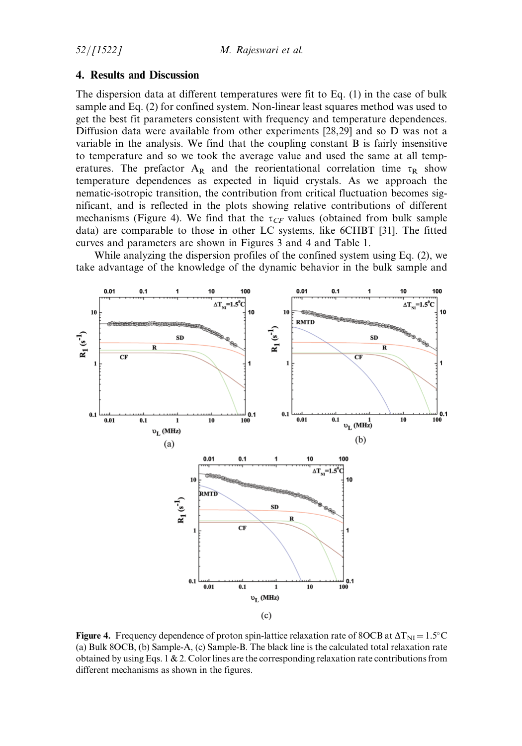## 4. Results and Discussion

The dispersion data at different temperatures were fit to Eq. (1) in the case of bulk sample and Eq. (2) for confined system. Non-linear least squares method was used to get the best fit parameters consistent with frequency and temperature dependences. Diffusion data were available from other experiments [28,29] and so D was not a variable in the analysis. We find that the coupling constant B is fairly insensitive to temperature and so we took the average value and used the same at all temperatures. The prefactor  $A_R$  and the reorientational correlation time  $\tau_R$  show temperature dependences as expected in liquid crystals. As we approach the nematic-isotropic transition, the contribution from critical fluctuation becomes significant, and is reflected in the plots showing relative contributions of different mechanisms (Figure 4). We find that the  $\tau_{CF}$  values (obtained from bulk sample data) are comparable to those in other LC systems, like 6CHBT [31]. The fitted curves and parameters are shown in Figures 3 and 4 and Table 1.

While analyzing the dispersion profiles of the confined system using Eq. (2), we take advantage of the knowledge of the dynamic behavior in the bulk sample and



Figure 4. Frequency dependence of proton spin-lattice relaxation rate of 8OCB at  $\Delta T_{\text{NI}} = 1.5^{\circ} \text{C}$ (a) Bulk 8OCB, (b) Sample-A, (c) Sample-B. The black line is the calculated total relaxation rate obtained by using Eqs. 1  $\&$  2. Color lines are the corresponding relaxation rate contributions from different mechanisms as shown in the figures.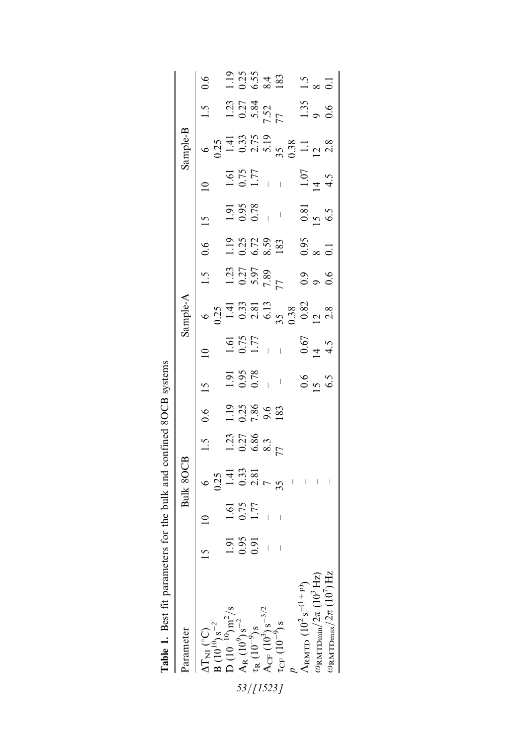| arameter                                                                                                                                                                                                                                                                         |                |                     | Bulk 8OCB                                                                                      |                                                                       |                                             |                                                    |                                                                         | Sample-A                                                                            |                                                                         |                                                                                                          |                                                                         |                                                         | $\textbf{Sample-B}$                                                              |                                                                                    |                                                                             |
|----------------------------------------------------------------------------------------------------------------------------------------------------------------------------------------------------------------------------------------------------------------------------------|----------------|---------------------|------------------------------------------------------------------------------------------------|-----------------------------------------------------------------------|---------------------------------------------|----------------------------------------------------|-------------------------------------------------------------------------|-------------------------------------------------------------------------------------|-------------------------------------------------------------------------|----------------------------------------------------------------------------------------------------------|-------------------------------------------------------------------------|---------------------------------------------------------|----------------------------------------------------------------------------------|------------------------------------------------------------------------------------|-----------------------------------------------------------------------------|
| AT <sub>NI</sub> (°C)<br>B (10 <sup>10</sup> ) s <sup>-2</sup><br>D (10 <sup>-10</sup> ) m <sup>2</sup> /s<br>A <sub>R</sub> (10 <sup>-9</sup> ) s <sup>-2</sup><br>$\tau_R$ (10 <sup>-9</sup> ) s<br>A <sub>CF</sub> (10 <sup>-9</sup> ) s<br>$\tau_{CF}$ (10 <sup>-9</sup> ) s |                |                     | $6\overline{)33\over 141}$<br>$0.25\over 141$<br>$0.33\over 281$<br>$7\over 29$<br>$1\over 11$ | $1.5$<br>$1.23$<br>$0.27$<br>$0.86$<br>$0.3$<br>$0.3$<br>$0.3$<br>$7$ | $0.6$<br>1.19 $7.86$<br>1.19 $7.86$<br>7.83 | 15                                                 |                                                                         | $6$<br>$0.25$<br>$1.41$<br>$0.38$<br>$0.38$<br>$0.38$<br>$0.28$<br>$0.28$<br>$0.28$ | 1.5<br>$1.23$<br>$1.23$<br>$0.27$<br>$7.89$<br>$7.89$<br>$0.9$<br>$0.6$ | $0.6$<br>$-1.25$<br>$-1.25$<br>$-1.25$<br>$-1.25$<br>$-1.25$<br>$-1.25$<br>$-1.25$<br>$-1.25$<br>$-1.25$ | 15<br>$1.91$<br>$0.95$<br>$-$<br>$-$<br>$0.81$<br>$0.5$<br>$0.5$<br>6.5 | $\overline{0}$                                          | $6$ $0.25$<br>$0.25$ $1.41$<br>$0.375$ $0.38$<br>$0.38$ $0.38$<br>$1.1$<br>$2.8$ | 1.5<br>$1.23$<br>$1.23$<br>$1.35$<br>$7.52$<br>$7.52$<br>$7.52$<br>$1.35$<br>$0.6$ | 0.6                                                                         |
|                                                                                                                                                                                                                                                                                  | $\overline{5}$ | $\frac{1.61}{0.75}$ |                                                                                                |                                                                       |                                             | $\frac{1.91}{0.95}$<br>0.95<br>- 0.6<br>5.5<br>6.5 | $1.61$<br>$0.75$<br>$-1.77$<br>$-1.77$<br>$-1.77$<br>$-1.5$<br>$-1.4.5$ |                                                                                     |                                                                         |                                                                                                          |                                                                         | $1.61$<br>$0.75$<br>$-1.77$<br>$-1.07$<br>$14$<br>$4.5$ |                                                                                  |                                                                                    |                                                                             |
|                                                                                                                                                                                                                                                                                  | $0.95$<br>0.91 |                     |                                                                                                |                                                                       |                                             |                                                    |                                                                         |                                                                                     |                                                                         |                                                                                                          |                                                                         |                                                         |                                                                                  |                                                                                    |                                                                             |
|                                                                                                                                                                                                                                                                                  |                |                     |                                                                                                |                                                                       |                                             |                                                    |                                                                         |                                                                                     |                                                                         |                                                                                                          |                                                                         |                                                         |                                                                                  |                                                                                    |                                                                             |
|                                                                                                                                                                                                                                                                                  |                |                     |                                                                                                |                                                                       |                                             |                                                    |                                                                         |                                                                                     |                                                                         |                                                                                                          |                                                                         |                                                         |                                                                                  |                                                                                    |                                                                             |
|                                                                                                                                                                                                                                                                                  |                |                     |                                                                                                |                                                                       |                                             |                                                    |                                                                         |                                                                                     |                                                                         |                                                                                                          |                                                                         |                                                         |                                                                                  |                                                                                    |                                                                             |
|                                                                                                                                                                                                                                                                                  |                |                     |                                                                                                |                                                                       |                                             |                                                    |                                                                         |                                                                                     |                                                                         |                                                                                                          |                                                                         |                                                         |                                                                                  |                                                                                    |                                                                             |
| ARMTD $(10^2 s^{-(1+p)})$                                                                                                                                                                                                                                                        |                |                     |                                                                                                |                                                                       |                                             |                                                    |                                                                         |                                                                                     |                                                                         |                                                                                                          |                                                                         |                                                         |                                                                                  |                                                                                    |                                                                             |
|                                                                                                                                                                                                                                                                                  |                |                     |                                                                                                |                                                                       |                                             |                                                    |                                                                         |                                                                                     |                                                                         |                                                                                                          |                                                                         |                                                         |                                                                                  |                                                                                    |                                                                             |
| $\frac{\omega_{\mathrm{RMTDmin}}/2\pi}{\omega_{\mathrm{RMTDmax}}/2\pi}$ (10 <sup>3</sup> ) Hz                                                                                                                                                                                    |                |                     |                                                                                                |                                                                       |                                             |                                                    |                                                                         |                                                                                     |                                                                         |                                                                                                          |                                                                         |                                                         |                                                                                  |                                                                                    | $1.19$<br>$0.25$<br>$0.53$<br>$0.35$<br>$0.35$<br>$0.35$<br>$0.35$<br>$0.1$ |
|                                                                                                                                                                                                                                                                                  |                |                     |                                                                                                |                                                                       |                                             |                                                    |                                                                         |                                                                                     |                                                                         |                                                                                                          |                                                                         |                                                         |                                                                                  |                                                                                    |                                                                             |

| l<br>しくく                                                                                      |
|-----------------------------------------------------------------------------------------------|
| $-24.7$ $-2.7$                                                                                |
| $\frac{1}{2}$                                                                                 |
| ,,,,,,,                                                                                       |
| j                                                                                             |
| the marameters for the bully                                                                  |
| ֧֖֧֧֦֧֦֧֧֧֧֦֧֦֧֧֧֧֧֧֧֧֧֧֪֧֧֧֧֧֧֚֚֚֚֚֚֚֚֚֚֚֚֚֚֚֚֚֚֚֚֚֚֚֚֝֝֓֝֬֝֬֓֝֓֝֓֝֬֝֬֝֓֝֬֝֬֝֬֝֬֝֬֝֬֝֬֝֬֝֬֝֬ |
|                                                                                               |
|                                                                                               |
| į                                                                                             |

 $53/[1523]$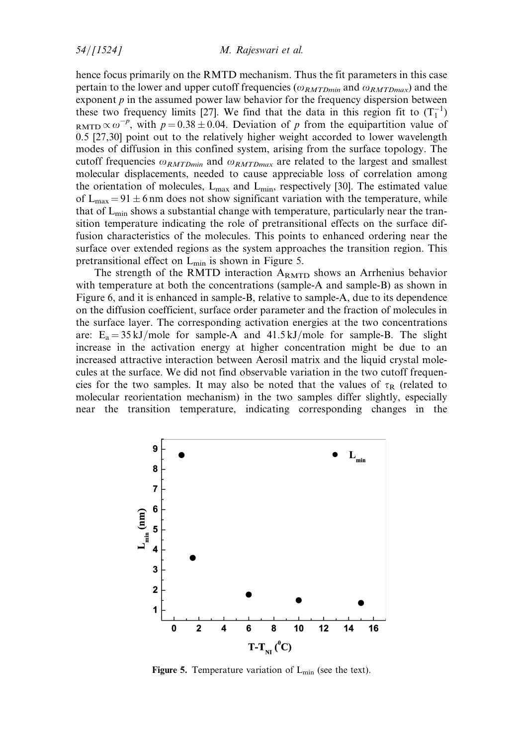hence focus primarily on the RMTD mechanism. Thus the fit parameters in this case pertain to the lower and upper cutoff frequencies ( $\omega_{RMTDmin}$  and  $\omega_{RMTDmax}$ ) and the exponent  $p$  in the assumed power law behavior for the frequency dispersion between these two frequency limits [27]. We find that the data in this region fit to  $(T_1^{-1})$ RMTD  $\propto \omega^{-p}$ , with  $p = 0.38 \pm 0.04$ . Deviation of p from the equipartition value of 0.5 [27,30] point out to the relatively higher weight accorded to lower wavelength modes of diffusion in this confined system, arising from the surface topology. The cutoff frequencies  $\omega_{RMTDmin}$  and  $\omega_{RMTDmax}$  are related to the largest and smallest molecular displacements, needed to cause appreciable loss of correlation among the orientation of molecules,  $L_{\text{max}}$  and  $L_{\text{min}}$ , respectively [30]. The estimated value of  $L_{\text{max}} = 91 \pm 6$  nm does not show significant variation with the temperature, while that of  $L_{\text{min}}$  shows a substantial change with temperature, particularly near the transition temperature indicating the role of pretransitional effects on the surface diffusion characteristics of the molecules. This points to enhanced ordering near the surface over extended regions as the system approaches the transition region. This pretransitional effect on  $L_{\text{min}}$  is shown in Figure 5.

The strength of the RMTD interaction  $A_{RMTD}$  shows an Arrhenius behavior with temperature at both the concentrations (sample-A and sample-B) as shown in Figure 6, and it is enhanced in sample-B, relative to sample-A, due to its dependence on the diffusion coefficient, surface order parameter and the fraction of molecules in the surface layer. The corresponding activation energies at the two concentrations are:  $E_a = 35 \text{ kJ/mole}$  for sample-A and 41.5 kJ/mole for sample-B. The slight increase in the activation energy at higher concentration might be due to an increased attractive interaction between Aerosil matrix and the liquid crystal molecules at the surface. We did not find observable variation in the two cutoff frequencies for the two samples. It may also be noted that the values of  $\tau_R$  (related to molecular reorientation mechanism) in the two samples differ slightly, especially near the transition temperature, indicating corresponding changes in the



Figure 5. Temperature variation of  $L_{\text{min}}$  (see the text).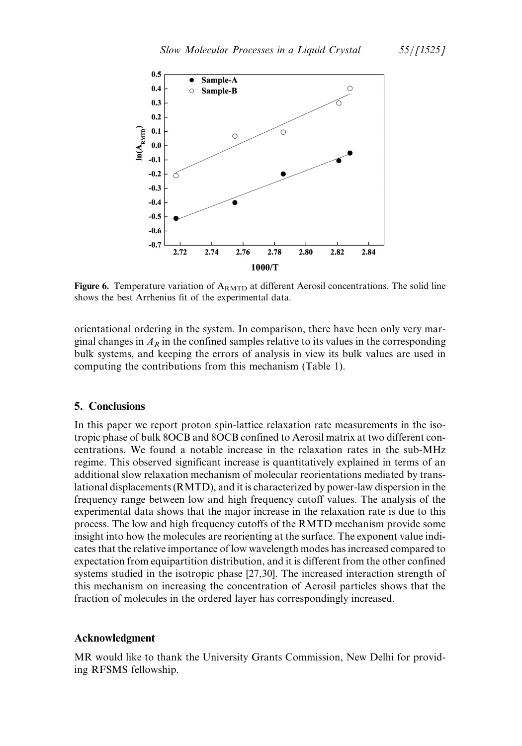

Figure 6. Temperature variation of  $A_{RMTD}$  at different Aerosil concentrations. The solid line shows the best Arrhenius fit of the experimental data.

orientational ordering in the system. In comparison, there have been only very marginal changes in  $A_R$  in the confined samples relative to its values in the corresponding bulk systems, and keeping the errors of analysis in view its bulk values are used in computing the contributions from this mechanism (Table 1).

# 5. Conclusions

In this paper we report proton spin-lattice relaxation rate measurements in the isotropic phase of bulk 8OCB and 8OCB confined to Aerosil matrix at two different concentrations. We found a notable increase in the relaxation rates in the sub-MHz regime. This observed significant increase is quantitatively explained in terms of an additional slow relaxation mechanism of molecular reorientations mediated by translational displacements (RMTD), and it is characterized by power-law dispersion in the frequency range between low and high frequency cutoff values. The analysis of the experimental data shows that the major increase in the relaxation rate is due to this process. The low and high frequency cutoffs of the RMTD mechanism provide some insight into how the molecules are reorienting at the surface. The exponent value indicates that the relative importance of low wavelength modes has increased compared to expectation from equipartition distribution, and it is different from the other confined systems studied in the isotropic phase [27,30]. The increased interaction strength of this mechanism on increasing the concentration of Aerosil particles shows that the fraction of molecules in the ordered layer has correspondingly increased.

#### Acknowledgment

MR would like to thank the University Grants Commission, New Delhi for providing RFSMS fellowship.